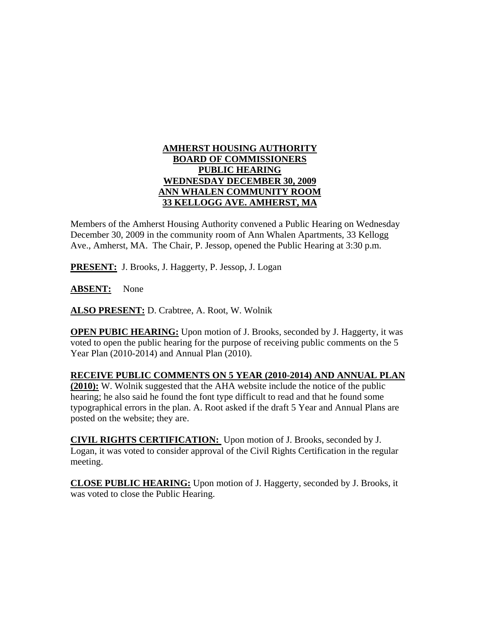## **AMHERST HOUSING AUTHORITY BOARD OF COMMISSIONERS PUBLIC HEARING WEDNESDAY DECEMBER 30, 2009 ANN WHALEN COMMUNITY ROOM 33 KELLOGG AVE. AMHERST, MA**

Members of the Amherst Housing Authority convened a Public Hearing on Wednesday December 30, 2009 in the community room of Ann Whalen Apartments, 33 Kellogg Ave., Amherst, MA. The Chair, P. Jessop, opened the Public Hearing at 3:30 p.m.

**PRESENT:** J. Brooks, J. Haggerty, P. Jessop, J. Logan

**ABSENT:** None

**ALSO PRESENT:** D. Crabtree, A. Root, W. Wolnik

**OPEN PUBIC HEARING:** Upon motion of J. Brooks, seconded by J. Haggerty, it was voted to open the public hearing for the purpose of receiving public comments on the 5 Year Plan (2010-2014) and Annual Plan (2010).

## **RECEIVE PUBLIC COMMENTS ON 5 YEAR (2010-2014) AND ANNUAL PLAN**

**(2010):** W. Wolnik suggested that the AHA website include the notice of the public hearing; he also said he found the font type difficult to read and that he found some typographical errors in the plan. A. Root asked if the draft 5 Year and Annual Plans are posted on the website; they are.

**CIVIL RIGHTS CERTIFICATION:** Upon motion of J. Brooks, seconded by J. Logan, it was voted to consider approval of the Civil Rights Certification in the regular meeting.

**CLOSE PUBLIC HEARING:** Upon motion of J. Haggerty, seconded by J. Brooks, it was voted to close the Public Hearing.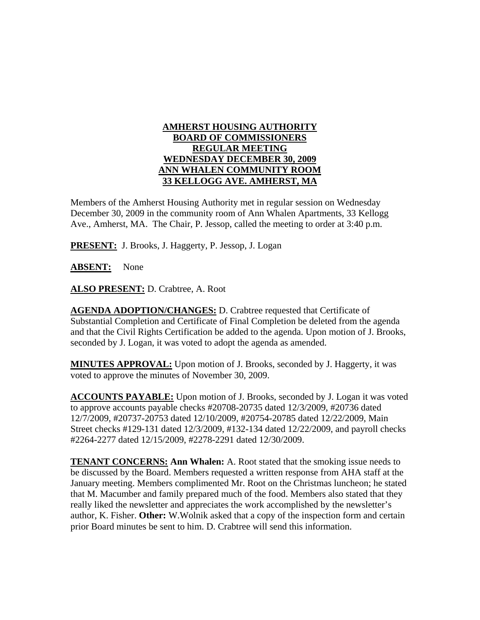## **AMHERST HOUSING AUTHORITY BOARD OF COMMISSIONERS REGULAR MEETING WEDNESDAY DECEMBER 30, 2009 ANN WHALEN COMMUNITY ROOM 33 KELLOGG AVE. AMHERST, MA**

Members of the Amherst Housing Authority met in regular session on Wednesday December 30, 2009 in the community room of Ann Whalen Apartments, 33 Kellogg Ave., Amherst, MA. The Chair, P. Jessop, called the meeting to order at 3:40 p.m.

**PRESENT:** J. Brooks, J. Haggerty, P. Jessop, J. Logan

**ABSENT:** None

**ALSO PRESENT:** D. Crabtree, A. Root

**AGENDA ADOPTION/CHANGES:** D. Crabtree requested that Certificate of Substantial Completion and Certificate of Final Completion be deleted from the agenda and that the Civil Rights Certification be added to the agenda. Upon motion of J. Brooks, seconded by J. Logan, it was voted to adopt the agenda as amended.

**MINUTES APPROVAL:** Upon motion of J. Brooks, seconded by J. Haggerty, it was voted to approve the minutes of November 30, 2009.

**ACCOUNTS PAYABLE:** Upon motion of J. Brooks, seconded by J. Logan it was voted to approve accounts payable checks #20708-20735 dated 12/3/2009, #20736 dated 12/7/2009, #20737-20753 dated 12/10/2009, #20754-20785 dated 12/22/2009, Main Street checks #129-131 dated 12/3/2009, #132-134 dated 12/22/2009, and payroll checks #2264-2277 dated 12/15/2009, #2278-2291 dated 12/30/2009.

**TENANT CONCERNS: Ann Whalen:** A. Root stated that the smoking issue needs to be discussed by the Board. Members requested a written response from AHA staff at the January meeting. Members complimented Mr. Root on the Christmas luncheon; he stated that M. Macumber and family prepared much of the food. Members also stated that they really liked the newsletter and appreciates the work accomplished by the newsletter's author, K. Fisher. **Other:** W.Wolnik asked that a copy of the inspection form and certain prior Board minutes be sent to him. D. Crabtree will send this information.